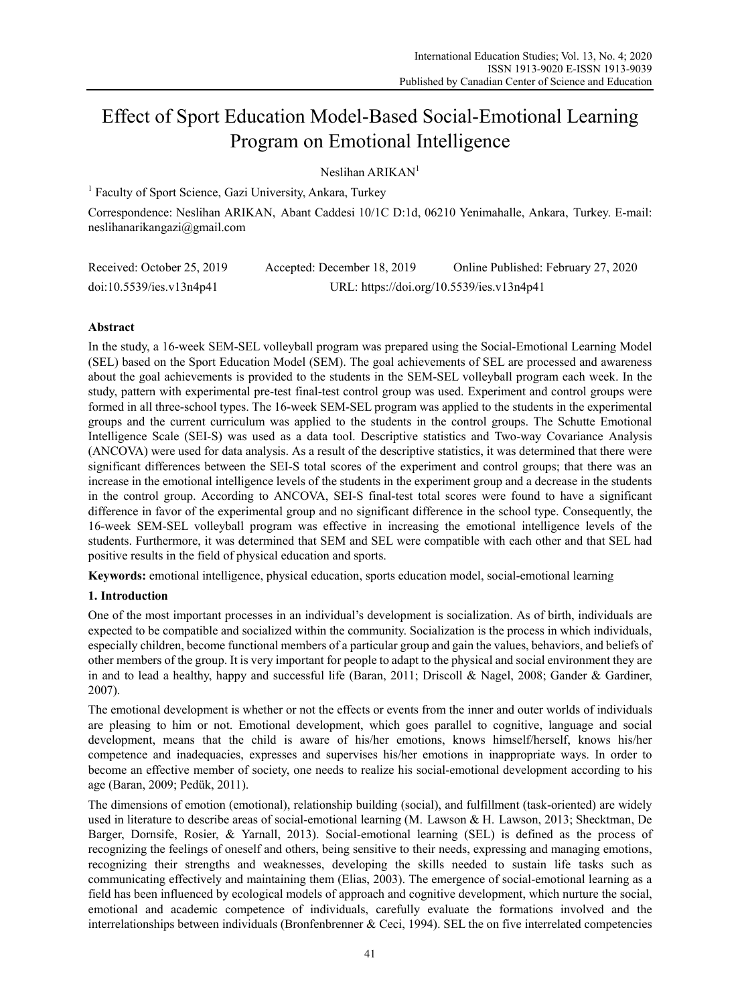# Effect of Sport Education Model-Based Social-Emotional Learning Program on Emotional Intelligence

Neslihan ARIKAN<sup>1</sup>

<sup>1</sup> Faculty of Sport Science, Gazi University, Ankara, Turkey

Correspondence: Neslihan ARIKAN, Abant Caddesi 10/1C D:1d, 06210 Yenimahalle, Ankara, Turkey. E-mail: neslihanarikangazi@gmail.com

| Received: October 25, 2019 | Accepted: December 18, 2019 | Online Published: February 27, 2020       |
|----------------------------|-----------------------------|-------------------------------------------|
| doi:10.5539/ies.v13n4p41   |                             | URL: https://doi.org/10.5539/ies.v13n4p41 |

## **Abstract**

In the study, a 16-week SEM-SEL volleyball program was prepared using the Social-Emotional Learning Model (SEL) based on the Sport Education Model (SEM). The goal achievements of SEL are processed and awareness about the goal achievements is provided to the students in the SEM-SEL volleyball program each week. In the study, pattern with experimental pre-test final-test control group was used. Experiment and control groups were formed in all three-school types. The 16-week SEM-SEL program was applied to the students in the experimental groups and the current curriculum was applied to the students in the control groups. The Schutte Emotional Intelligence Scale (SEI-S) was used as a data tool. Descriptive statistics and Two-way Covariance Analysis (ANCOVA) were used for data analysis. As a result of the descriptive statistics, it was determined that there were significant differences between the SEI-S total scores of the experiment and control groups; that there was an increase in the emotional intelligence levels of the students in the experiment group and a decrease in the students in the control group. According to ANCOVA, SEI-S final-test total scores were found to have a significant difference in favor of the experimental group and no significant difference in the school type. Consequently, the 16-week SEM-SEL volleyball program was effective in increasing the emotional intelligence levels of the students. Furthermore, it was determined that SEM and SEL were compatible with each other and that SEL had positive results in the field of physical education and sports.

**Keywords:** emotional intelligence, physical education, sports education model, social-emotional learning

## **1. Introduction**

One of the most important processes in an individual's development is socialization. As of birth, individuals are expected to be compatible and socialized within the community. Socialization is the process in which individuals, especially children, become functional members of a particular group and gain the values, behaviors, and beliefs of other members of the group. It is very important for people to adapt to the physical and social environment they are in and to lead a healthy, happy and successful life (Baran, 2011; Driscoll & Nagel, 2008; Gander & Gardiner, 2007).

The emotional development is whether or not the effects or events from the inner and outer worlds of individuals are pleasing to him or not. Emotional development, which goes parallel to cognitive, language and social development, means that the child is aware of his/her emotions, knows himself/herself, knows his/her competence and inadequacies, expresses and supervises his/her emotions in inappropriate ways. In order to become an effective member of society, one needs to realize his social-emotional development according to his age (Baran, 2009; Pedük, 2011).

The dimensions of emotion (emotional), relationship building (social), and fulfillment (task-oriented) are widely used in literature to describe areas of social-emotional learning (M. Lawson & H. Lawson, 2013; Shecktman, De Barger, Dornsife, Rosier, & Yarnall, 2013). Social-emotional learning (SEL) is defined as the process of recognizing the feelings of oneself and others, being sensitive to their needs, expressing and managing emotions, recognizing their strengths and weaknesses, developing the skills needed to sustain life tasks such as communicating effectively and maintaining them (Elias, 2003). The emergence of social-emotional learning as a field has been influenced by ecological models of approach and cognitive development, which nurture the social, emotional and academic competence of individuals, carefully evaluate the formations involved and the interrelationships between individuals (Bronfenbrenner & Ceci, 1994). SEL the on five interrelated competencies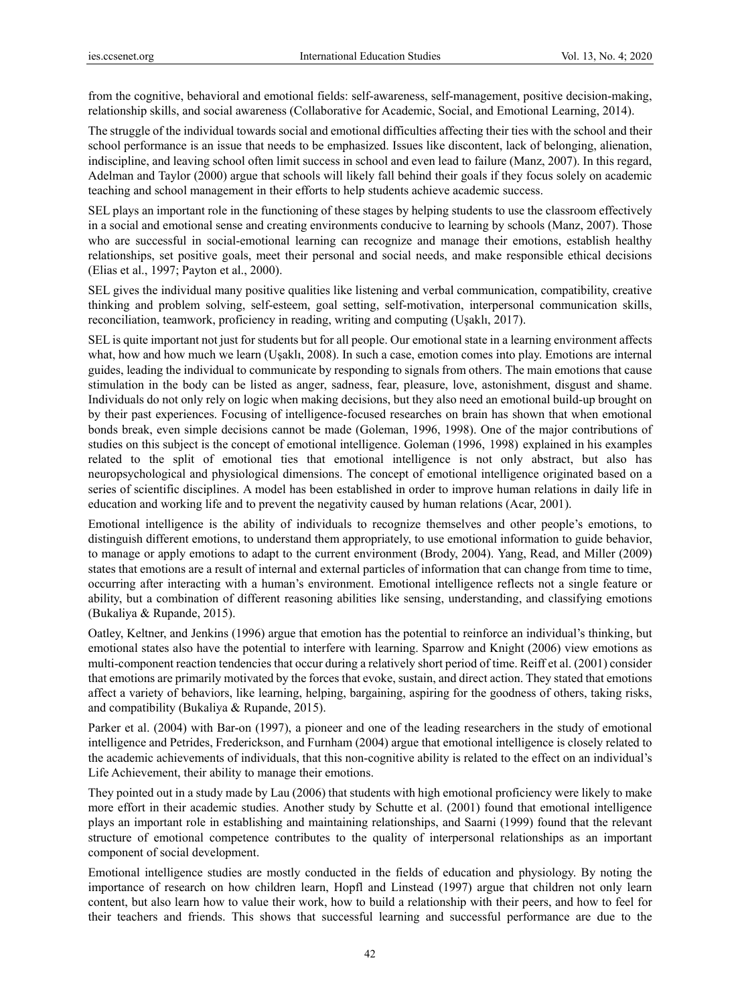from the cognitive, behavioral and emotional fields: self-awareness, self-management, positive decision-making, relationship skills, and social awareness (Collaborative for Academic, Social, and Emotional Learning, 2014).

The struggle of the individual towards social and emotional difficulties affecting their ties with the school and their school performance is an issue that needs to be emphasized. Issues like discontent, lack of belonging, alienation, indiscipline, and leaving school often limit success in school and even lead to failure (Manz, 2007). In this regard, Adelman and Taylor (2000) argue that schools will likely fall behind their goals if they focus solely on academic teaching and school management in their efforts to help students achieve academic success.

SEL plays an important role in the functioning of these stages by helping students to use the classroom effectively in a social and emotional sense and creating environments conducive to learning by schools (Manz, 2007). Those who are successful in social-emotional learning can recognize and manage their emotions, establish healthy relationships, set positive goals, meet their personal and social needs, and make responsible ethical decisions (Elias et al., 1997; Payton et al., 2000).

SEL gives the individual many positive qualities like listening and verbal communication, compatibility, creative thinking and problem solving, self-esteem, goal setting, self-motivation, interpersonal communication skills, reconciliation, teamwork, proficiency in reading, writing and computing (Uşaklı, 2017).

SEL is quite important not just for students but for all people. Our emotional state in a learning environment affects what, how and how much we learn (Uşaklı, 2008). In such a case, emotion comes into play. Emotions are internal guides, leading the individual to communicate by responding to signals from others. The main emotions that cause stimulation in the body can be listed as anger, sadness, fear, pleasure, love, astonishment, disgust and shame. Individuals do not only rely on logic when making decisions, but they also need an emotional build-up brought on by their past experiences. Focusing of intelligence-focused researches on brain has shown that when emotional bonds break, even simple decisions cannot be made (Goleman, 1996, 1998). One of the major contributions of studies on this subject is the concept of emotional intelligence. Goleman (1996, 1998) explained in his examples related to the split of emotional ties that emotional intelligence is not only abstract, but also has neuropsychological and physiological dimensions. The concept of emotional intelligence originated based on a series of scientific disciplines. A model has been established in order to improve human relations in daily life in education and working life and to prevent the negativity caused by human relations (Acar, 2001).

Emotional intelligence is the ability of individuals to recognize themselves and other people's emotions, to distinguish different emotions, to understand them appropriately, to use emotional information to guide behavior, to manage or apply emotions to adapt to the current environment (Brody, 2004). Yang, Read, and Miller (2009) states that emotions are a result of internal and external particles of information that can change from time to time, occurring after interacting with a human's environment. Emotional intelligence reflects not a single feature or ability, but a combination of different reasoning abilities like sensing, understanding, and classifying emotions (Bukaliya & Rupande, 2015).

Oatley, Keltner, and Jenkins (1996) argue that emotion has the potential to reinforce an individual's thinking, but emotional states also have the potential to interfere with learning. Sparrow and Knight (2006) view emotions as multi-component reaction tendencies that occur during a relatively short period of time. Reiff et al. (2001) consider that emotions are primarily motivated by the forces that evoke, sustain, and direct action. They stated that emotions affect a variety of behaviors, like learning, helping, bargaining, aspiring for the goodness of others, taking risks, and compatibility (Bukaliya & Rupande, 2015).

Parker et al. (2004) with Bar-on (1997), a pioneer and one of the leading researchers in the study of emotional intelligence and Petrides, Frederickson, and Furnham (2004) argue that emotional intelligence is closely related to the academic achievements of individuals, that this non-cognitive ability is related to the effect on an individual's Life Achievement, their ability to manage their emotions.

They pointed out in a study made by Lau (2006) that students with high emotional proficiency were likely to make more effort in their academic studies. Another study by Schutte et al. (2001) found that emotional intelligence plays an important role in establishing and maintaining relationships, and Saarni (1999) found that the relevant structure of emotional competence contributes to the quality of interpersonal relationships as an important component of social development.

Emotional intelligence studies are mostly conducted in the fields of education and physiology. By noting the importance of research on how children learn, Hopfl and Linstead (1997) argue that children not only learn content, but also learn how to value their work, how to build a relationship with their peers, and how to feel for their teachers and friends. This shows that successful learning and successful performance are due to the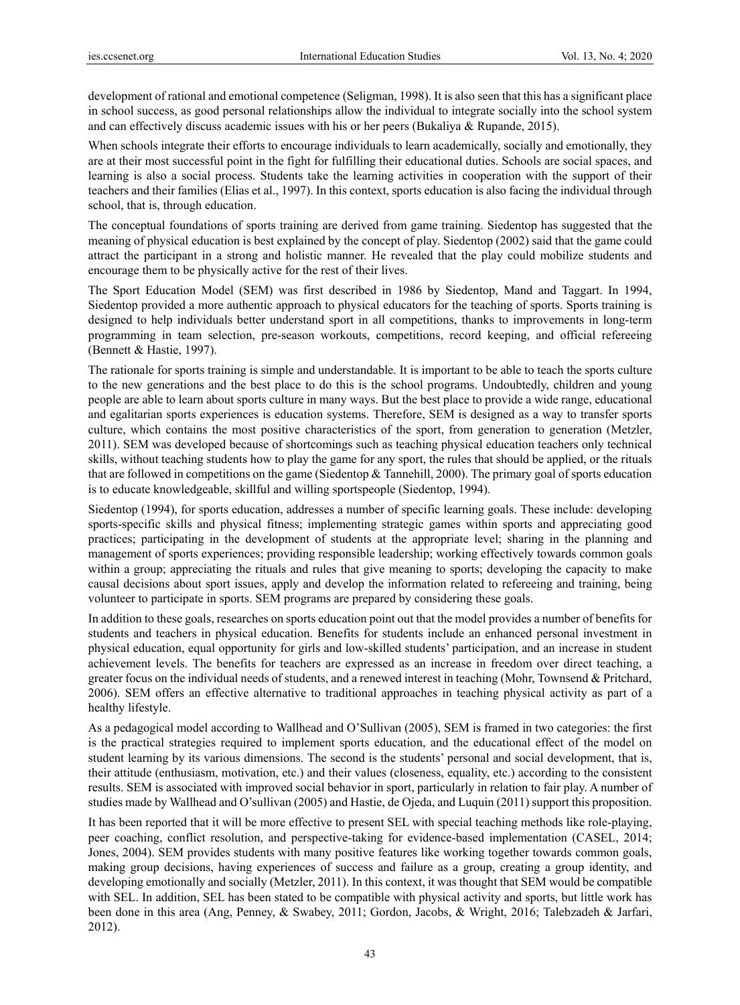development of rational and emotional competence (Seligman, 1998). It is also seen that this has a significant place in school success, as good personal relationships allow the individual to integrate socially into the school system and can effectively discuss academic issues with his or her peers (Bukaliya & Rupande, 2015).

When schools integrate their efforts to encourage individuals to learn academically, socially and emotionally, they are at their most successful point in the fight for fulfilling their educational duties. Schools are social spaces, and learning is also a social process. Students take the learning activities in cooperation with the support of their teachers and their families (Elias et al., 1997). In this context, sports education is also facing the individual through school, that is, through education.

The conceptual foundations of sports training are derived from game training. Siedentop has suggested that the meaning of physical education is best explained by the concept of play. Siedentop (2002) said that the game could attract the participant in a strong and holistic manner. He revealed that the play could mobilize students and encourage them to be physically active for the rest of their lives.

The Sport Education Model (SEM) was first described in 1986 by Siedentop, Mand and Taggart. In 1994, Siedentop provided a more authentic approach to physical educators for the teaching of sports. Sports training is designed to help individuals better understand sport in all competitions, thanks to improvements in long-term programming in team selection, pre-season workouts, competitions, record keeping, and official refereeing (Bennett & Hastie, 1997).

The rationale for sports training is simple and understandable. It is important to be able to teach the sports culture to the new generations and the best place to do this is the school programs. Undoubtedly, children and young people are able to learn about sports culture in many ways. But the best place to provide a wide range, educational and egalitarian sports experiences is education systems. Therefore, SEM is designed as a way to transfer sports culture, which contains the most positive characteristics of the sport, from generation to generation (Metzler, 2011). SEM was developed because of shortcomings such as teaching physical education teachers only technical skills, without teaching students how to play the game for any sport, the rules that should be applied, or the rituals that are followed in competitions on the game (Siedentop & Tannehill, 2000). The primary goal of sports education is to educate knowledgeable, skillful and willing sportspeople (Siedentop, 1994).

Siedentop (1994), for sports education, addresses a number of specific learning goals. These include: developing sports-specific skills and physical fitness; implementing strategic games within sports and appreciating good practices; participating in the development of students at the appropriate level; sharing in the planning and management of sports experiences; providing responsible leadership; working effectively towards common goals within a group; appreciating the rituals and rules that give meaning to sports; developing the capacity to make causal decisions about sport issues, apply and develop the information related to refereeing and training, being volunteer to participate in sports. SEM programs are prepared by considering these goals.

In addition to these goals, researches on sports education point out that the model provides a number of benefits for students and teachers in physical education. Benefits for students include an enhanced personal investment in physical education, equal opportunity for girls and low-skilled students' participation, and an increase in student achievement levels. The benefits for teachers are expressed as an increase in freedom over direct teaching, a greater focus on the individual needs of students, and a renewed interest in teaching (Mohr, Townsend & Pritchard, 2006). SEM offers an effective alternative to traditional approaches in teaching physical activity as part of a healthy lifestyle.

As a pedagogical model according to Wallhead and O'Sullivan (2005), SEM is framed in two categories: the first is the practical strategies required to implement sports education, and the educational effect of the model on student learning by its various dimensions. The second is the students' personal and social development, that is, their attitude (enthusiasm, motivation, etc.) and their values (closeness, equality, etc.) according to the consistent results. SEM is associated with improved social behavior in sport, particularly in relation to fair play. A number of studies made by Wallhead and O'sullivan (2005) and Hastie, de Ojeda, and Luquin (2011) support this proposition.

It has been reported that it will be more effective to present SEL with special teaching methods like role-playing, peer coaching, conflict resolution, and perspective-taking for evidence-based implementation (CASEL, 2014; Jones, 2004). SEM provides students with many positive features like working together towards common goals, making group decisions, having experiences of success and failure as a group, creating a group identity, and developing emotionally and socially (Metzler, 2011). In this context, it was thought that SEM would be compatible with SEL. In addition, SEL has been stated to be compatible with physical activity and sports, but little work has been done in this area (Ang, Penney, & Swabey, 2011; Gordon, Jacobs, & Wright, 2016; Talebzadeh & Jarfari, 2012).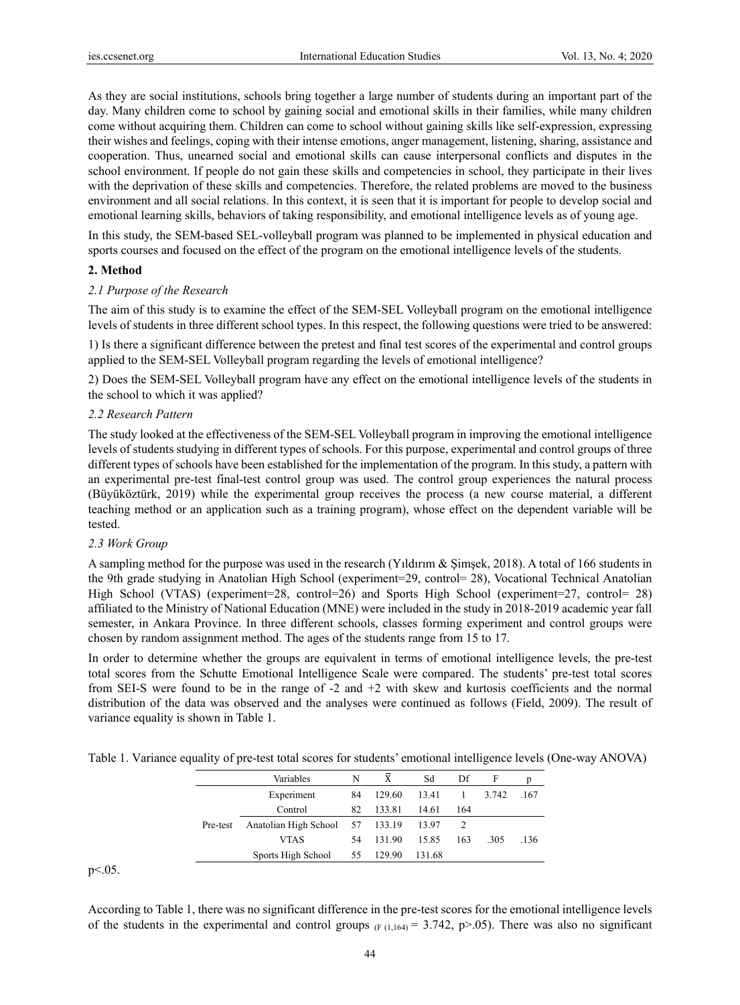As they are social institutions, schools bring together a large number of students during an important part of the day. Many children come to school by gaining social and emotional skills in their families, while many children come without acquiring them. Children can come to school without gaining skills like self-expression, expressing their wishes and feelings, coping with their intense emotions, anger management, listening, sharing, assistance and cooperation. Thus, unearned social and emotional skills can cause interpersonal conflicts and disputes in the school environment. If people do not gain these skills and competencies in school, they participate in their lives with the deprivation of these skills and competencies. Therefore, the related problems are moved to the business environment and all social relations. In this context, it is seen that it is important for people to develop social and emotional learning skills, behaviors of taking responsibility, and emotional intelligence levels as of young age.

In this study, the SEM-based SEL-volleyball program was planned to be implemented in physical education and sports courses and focused on the effect of the program on the emotional intelligence levels of the students.

#### **2. Method**

#### *2.1 Purpose of the Research*

The aim of this study is to examine the effect of the SEM-SEL Volleyball program on the emotional intelligence levels of students in three different school types. In this respect, the following questions were tried to be answered:

1) Is there a significant difference between the pretest and final test scores of the experimental and control groups applied to the SEM-SEL Volleyball program regarding the levels of emotional intelligence?

2) Does the SEM-SEL Volleyball program have any effect on the emotional intelligence levels of the students in the school to which it was applied?

#### *2.2 Research Pattern*

The study looked at the effectiveness of the SEM-SEL Volleyball program in improving the emotional intelligence levels of students studying in different types of schools. For this purpose, experimental and control groups of three different types of schools have been established for the implementation of the program. In this study, a pattern with an experimental pre-test final-test control group was used. The control group experiences the natural process (Büyüköztürk, 2019) while the experimental group receives the process (a new course material, a different teaching method or an application such as a training program), whose effect on the dependent variable will be tested.

#### *2.3 Work Group*

A sampling method for the purpose was used in the research (Yıldırım & Şimşek, 2018). A total of 166 students in the 9th grade studying in Anatolian High School (experiment=29, control= 28), Vocational Technical Anatolian High School (VTAS) (experiment=28, control=26) and Sports High School (experiment=27, control= 28) affiliated to the Ministry of National Education (MNE) were included in the study in 2018-2019 academic year fall semester, in Ankara Province. In three different schools, classes forming experiment and control groups were chosen by random assignment method. The ages of the students range from 15 to 17.

In order to determine whether the groups are equivalent in terms of emotional intelligence levels, the pre-test total scores from the Schutte Emotional Intelligence Scale were compared. The students' pre-test total scores from SEI-S were found to be in the range of -2 and +2 with skew and kurtosis coefficients and the normal distribution of the data was observed and the analyses were continued as follows (Field, 2009). The result of variance equality is shown in Table 1.

|  |  | Table 1. Variance equality of pre-test total scores for students' emotional intelligence levels (One-way ANOVA) |  |
|--|--|-----------------------------------------------------------------------------------------------------------------|--|
|  |  |                                                                                                                 |  |

|          | Variables             | N  | X      | Sd     | Df  | F     |      |
|----------|-----------------------|----|--------|--------|-----|-------|------|
|          | Experiment            | 84 | 129.60 | 13.41  |     | 3.742 | .167 |
|          | Control               | 82 | 133.81 | 14.61  | 164 |       |      |
| Pre-test | Anatolian High School | 57 | 133.19 | 13.97  |     |       |      |
|          | <b>VTAS</b>           | 54 | 131.90 | 15.85  | 163 | -305  | .136 |
|          | Sports High School    | 55 | 129.90 | 131.68 |     |       |      |

 $p<.05$ .

According to Table 1, there was no significant difference in the pre-test scores for the emotional intelligence levels of the students in the experimental and control groups  $(F(1,164) = 3.742, p > .05)$ . There was also no significant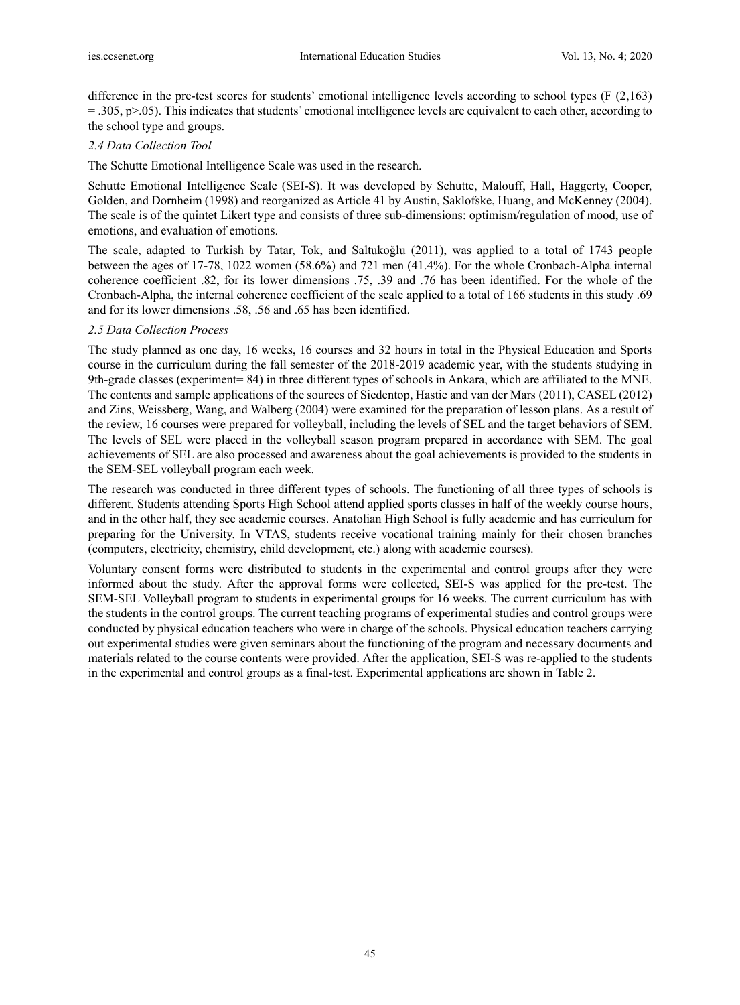difference in the pre-test scores for students' emotional intelligence levels according to school types (F (2,163)  $=$  .305, p $>$  .05). This indicates that students' emotional intelligence levels are equivalent to each other, according to the school type and groups.

## *2.4 Data Collection Tool*

The Schutte Emotional Intelligence Scale was used in the research.

Schutte Emotional Intelligence Scale (SEI-S). It was developed by Schutte, Malouff, Hall, Haggerty, Cooper, Golden, and Dornheim (1998) and reorganized as Article 41 by Austin, Saklofske, Huang, and McKenney (2004). The scale is of the quintet Likert type and consists of three sub-dimensions: optimism/regulation of mood, use of emotions, and evaluation of emotions.

The scale, adapted to Turkish by Tatar, Tok, and Saltukoğlu (2011), was applied to a total of 1743 people between the ages of 17-78, 1022 women (58.6%) and 721 men (41.4%). For the whole Cronbach-Alpha internal coherence coefficient .82, for its lower dimensions .75, .39 and .76 has been identified. For the whole of the Cronbach-Alpha, the internal coherence coefficient of the scale applied to a total of 166 students in this study .69 and for its lower dimensions .58, .56 and .65 has been identified.

### *2.5 Data Collection Process*

The study planned as one day, 16 weeks, 16 courses and 32 hours in total in the Physical Education and Sports course in the curriculum during the fall semester of the 2018-2019 academic year, with the students studying in 9th-grade classes (experiment= 84) in three different types of schools in Ankara, which are affiliated to the MNE. The contents and sample applications of the sources of Siedentop, Hastie and van der Mars (2011), CASEL (2012) and Zins, Weissberg, Wang, and Walberg (2004) were examined for the preparation of lesson plans. As a result of the review, 16 courses were prepared for volleyball, including the levels of SEL and the target behaviors of SEM. The levels of SEL were placed in the volleyball season program prepared in accordance with SEM. The goal achievements of SEL are also processed and awareness about the goal achievements is provided to the students in the SEM-SEL volleyball program each week.

The research was conducted in three different types of schools. The functioning of all three types of schools is different. Students attending Sports High School attend applied sports classes in half of the weekly course hours, and in the other half, they see academic courses. Anatolian High School is fully academic and has curriculum for preparing for the University. In VTAS, students receive vocational training mainly for their chosen branches (computers, electricity, chemistry, child development, etc.) along with academic courses).

Voluntary consent forms were distributed to students in the experimental and control groups after they were informed about the study. After the approval forms were collected, SEI-S was applied for the pre-test. The SEM-SEL Volleyball program to students in experimental groups for 16 weeks. The current curriculum has with the students in the control groups. The current teaching programs of experimental studies and control groups were conducted by physical education teachers who were in charge of the schools. Physical education teachers carrying out experimental studies were given seminars about the functioning of the program and necessary documents and materials related to the course contents were provided. After the application, SEI-S was re-applied to the students in the experimental and control groups as a final-test. Experimental applications are shown in Table 2.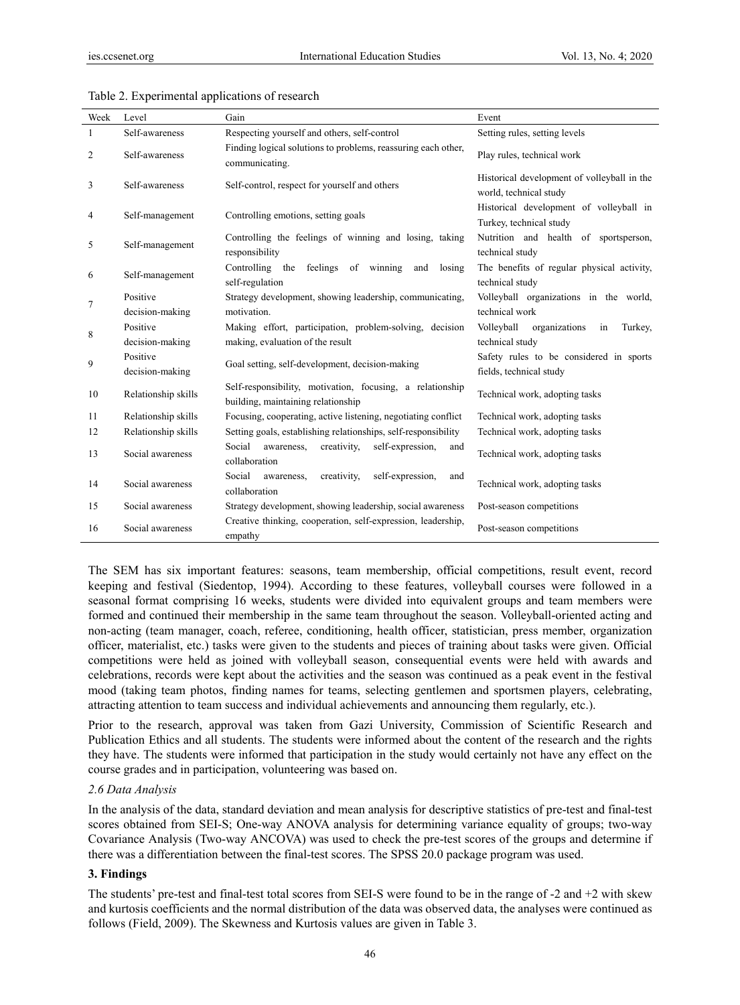| Week | Level                       | Gain                                                                                            | Event                                                                 |
|------|-----------------------------|-------------------------------------------------------------------------------------------------|-----------------------------------------------------------------------|
| 1    | Self-awareness              | Respecting yourself and others, self-control                                                    | Setting rules, setting levels                                         |
| 2    | Self-awareness              | Finding logical solutions to problems, reassuring each other,<br>communicating.                 | Play rules, technical work                                            |
| 3    | Self-awareness              | Self-control, respect for yourself and others                                                   | Historical development of volleyball in the<br>world, technical study |
| 4    | Self-management             | Controlling emotions, setting goals                                                             | Historical development of volleyball in<br>Turkey, technical study    |
| 5    | Self-management             | Controlling the feelings of winning and losing, taking<br>responsibility                        | Nutrition and health of sportsperson,<br>technical study              |
| 6    | Self-management             | Controlling the feelings of winning and<br>losing<br>self-regulation                            | The benefits of regular physical activity,<br>technical study         |
|      | Positive                    | Strategy development, showing leadership, communicating,                                        | Volleyball organizations in the world,                                |
| 7    | decision-making             | motivation.                                                                                     | technical work                                                        |
| 8    | Positive                    | Making effort, participation, problem-solving, decision                                         | Volleyball<br>organizations<br>in<br>Turkey,                          |
|      | decision-making             | making, evaluation of the result                                                                | technical study                                                       |
| 9    | Positive<br>decision-making | Goal setting, self-development, decision-making                                                 | Safety rules to be considered in sports<br>fields, technical study    |
| 10   | Relationship skills         | Self-responsibility, motivation, focusing, a relationship<br>building, maintaining relationship | Technical work, adopting tasks                                        |
| 11   | Relationship skills         | Focusing, cooperating, active listening, negotiating conflict                                   | Technical work, adopting tasks                                        |
| 12   | Relationship skills         | Setting goals, establishing relationships, self-responsibility                                  | Technical work, adopting tasks                                        |
| 13   | Social awareness            | Social<br>awareness,<br>creativity,<br>self-expression,<br>and<br>collaboration                 | Technical work, adopting tasks                                        |
| 14   | Social awareness            | Social<br>self-expression,<br>creativity,<br>awareness,<br>and<br>collaboration                 | Technical work, adopting tasks                                        |
| 15   | Social awareness            | Strategy development, showing leadership, social awareness                                      | Post-season competitions                                              |
| 16   | Social awareness            | Creative thinking, cooperation, self-expression, leadership,<br>empathy                         | Post-season competitions                                              |

#### Table 2. Experimental applications of research

The SEM has six important features: seasons, team membership, official competitions, result event, record keeping and festival (Siedentop, 1994). According to these features, volleyball courses were followed in a seasonal format comprising 16 weeks, students were divided into equivalent groups and team members were formed and continued their membership in the same team throughout the season. Volleyball-oriented acting and non-acting (team manager, coach, referee, conditioning, health officer, statistician, press member, organization officer, materialist, etc.) tasks were given to the students and pieces of training about tasks were given. Official competitions were held as joined with volleyball season, consequential events were held with awards and celebrations, records were kept about the activities and the season was continued as a peak event in the festival mood (taking team photos, finding names for teams, selecting gentlemen and sportsmen players, celebrating, attracting attention to team success and individual achievements and announcing them regularly, etc.).

Prior to the research, approval was taken from Gazi University, Commission of Scientific Research and Publication Ethics and all students. The students were informed about the content of the research and the rights they have. The students were informed that participation in the study would certainly not have any effect on the course grades and in participation, volunteering was based on.

#### *2.6 Data Analysis*

In the analysis of the data, standard deviation and mean analysis for descriptive statistics of pre-test and final-test scores obtained from SEI-S; One-way ANOVA analysis for determining variance equality of groups; two-way Covariance Analysis (Two-way ANCOVA) was used to check the pre-test scores of the groups and determine if there was a differentiation between the final-test scores. The SPSS 20.0 package program was used.

#### **3. Findings**

The students' pre-test and final-test total scores from SEI-S were found to be in the range of -2 and +2 with skew and kurtosis coefficients and the normal distribution of the data was observed data, the analyses were continued as follows (Field, 2009). The Skewness and Kurtosis values are given in Table 3.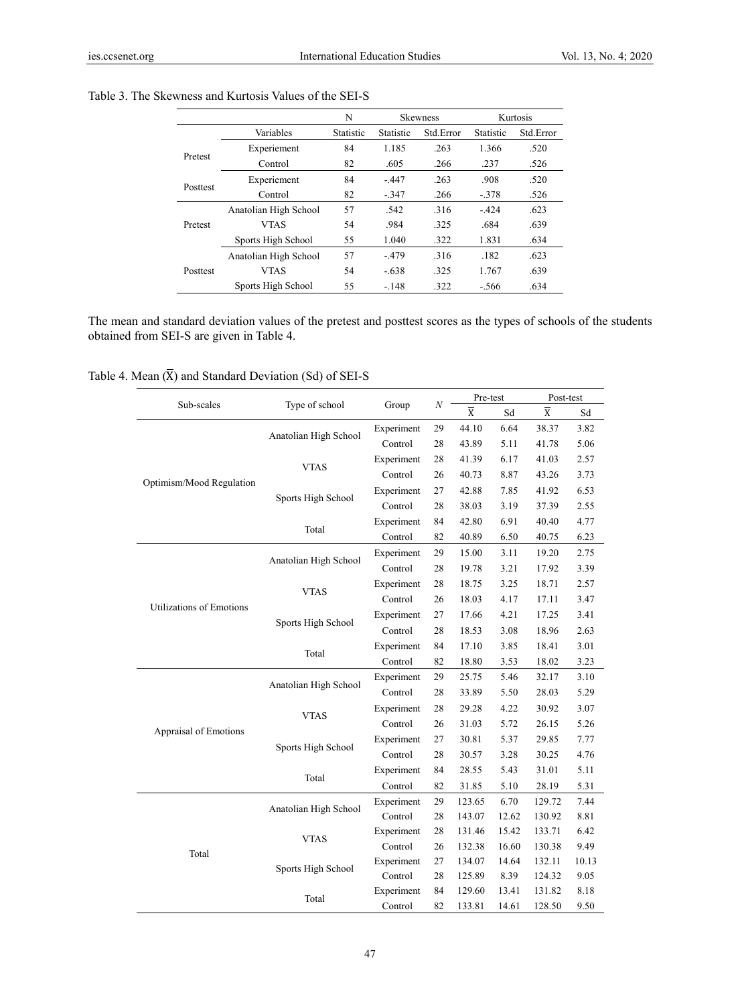|          |                       | N         | <b>Skewness</b>  |           |           | Kurtosis  |
|----------|-----------------------|-----------|------------------|-----------|-----------|-----------|
|          | Variables             | Statistic | <b>Statistic</b> | Std Error | Statistic | Std.Error |
|          | Experiement           | 84        | 1.185            | .263      | 1.366     | .520      |
| Pretest  | Control               | 82        | .605             | .266      | .237      | .526      |
|          | Experiement           | 84        | $-447$           | .263      | .908      | .520      |
| Posttest | Control               | 82        | $-.347$          | .266      | $-.378$   | .526      |
|          | Anatolian High School | 57        | .542             | 316       | $-424$    | .623      |
| Pretest  | <b>VTAS</b>           | 54        | .984             | 325       | .684      | .639      |
|          | Sports High School    | 55        | 1.040            | .322      | 1.831     | .634      |
|          | Anatolian High School | 57        | $-479$           | .316      | .182      | .623      |
| Posttest | <b>VTAS</b>           | 54        | $-.638$          | 325       | 1.767     | .639      |
|          | Sports High School    | 55        | $-148$           | 322       | $-566$    | .634      |

## Table 3. The Skewness and Kurtosis Values of the SEI-S

The mean and standard deviation values of the pretest and posttest scores as the types of schools of the students obtained from SEI-S are given in Table 4.

## Table 4. Mean  $(\overline{X})$  and Standard Deviation (Sd) of SEI-S

|                          |                       |            |    | Pre-test              |       | Post-test      |       |
|--------------------------|-----------------------|------------|----|-----------------------|-------|----------------|-------|
| Sub-scales               | Type of school        | Group      | N  | $\overline{\text{X}}$ | Sd    | $\overline{X}$ | Sd    |
|                          |                       | Experiment | 29 | 44.10                 | 6.64  | 38.37          | 3.82  |
|                          | Anatolian High School | Control    | 28 | 43.89                 | 5.11  | 41.78          | 5.06  |
|                          |                       | Experiment | 28 | 41.39                 | 6.17  | 41.03          | 2.57  |
|                          | <b>VTAS</b>           | Control    | 26 | 40.73                 | 8.87  | 43.26          | 3.73  |
| Optimism/Mood Regulation | Sports High School    | Experiment | 27 | 42.88                 | 7.85  | 41.92          | 6.53  |
|                          |                       | Control    | 28 | 38.03                 | 3.19  | 37.39          | 2.55  |
|                          | Total                 | Experiment | 84 | 42.80                 | 6.91  | 40.40          | 4.77  |
|                          |                       | Control    | 82 | 40.89                 | 6.50  | 40.75          | 6.23  |
|                          |                       | Experiment | 29 | 15.00                 | 3.11  | 19.20          | 2.75  |
|                          | Anatolian High School | Control    | 28 | 19.78                 | 3.21  | 17.92          | 3.39  |
|                          | <b>VTAS</b>           | Experiment | 28 | 18.75                 | 3.25  | 18.71          | 2.57  |
| Utilizations of Emotions |                       | Control    | 26 | 18.03                 | 4.17  | 17.11          | 3.47  |
|                          | Sports High School    | Experiment | 27 | 17.66                 | 4.21  | 17.25          | 3.41  |
|                          |                       | Control    | 28 | 18.53                 | 3.08  | 18.96          | 2.63  |
|                          | Total                 | Experiment | 84 | 17.10                 | 3.85  | 18.41          | 3.01  |
|                          |                       | Control    | 82 | 18.80                 | 3.53  | 18.02          | 3.23  |
|                          |                       | Experiment | 29 | 25.75                 | 5.46  | 32.17          | 3.10  |
|                          | Anatolian High School | Control    | 28 | 33.89                 | 5.50  | 28.03          | 5.29  |
|                          | <b>VTAS</b>           | Experiment | 28 | 29.28                 | 4.22  | 30.92          | 3.07  |
| Appraisal of Emotions    |                       | Control    | 26 | 31.03                 | 5.72  | 26.15          | 5.26  |
|                          | Sports High School    | Experiment | 27 | 30.81                 | 5.37  | 29.85          | 7.77  |
|                          |                       | Control    | 28 | 30.57                 | 3.28  | 30.25          | 4.76  |
|                          | Total                 | Experiment | 84 | 28.55                 | 5.43  | 31.01          | 5.11  |
|                          |                       | Control    | 82 | 31.85                 | 5.10  | 28.19          | 5.31  |
|                          | Anatolian High School | Experiment | 29 | 123.65                | 6.70  | 129.72         | 7.44  |
|                          |                       | Control    | 28 | 143.07                | 12.62 | 130.92         | 8.81  |
| Total                    | <b>VTAS</b>           | Experiment | 28 | 131.46                | 15.42 | 133.71         | 6.42  |
|                          |                       | Control    | 26 | 132.38                | 16.60 | 130.38         | 9.49  |
|                          | Sports High School    | Experiment | 27 | 134.07                | 14.64 | 132.11         | 10.13 |
|                          |                       | Control    | 28 | 125.89                | 8.39  | 124.32         | 9.05  |
|                          | Total                 | Experiment | 84 | 129.60                | 13.41 | 131.82         | 8.18  |
|                          |                       | Control    | 82 | 133.81                | 14.61 | 128.50         | 9.50  |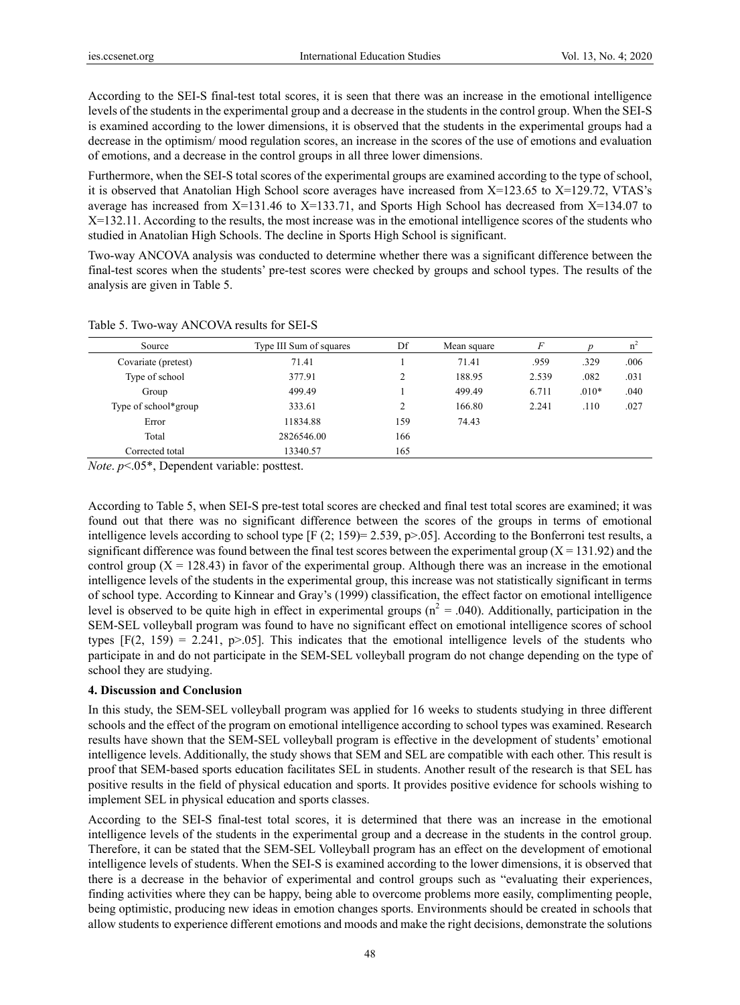According to the SEI-S final-test total scores, it is seen that there was an increase in the emotional intelligence levels of the students in the experimental group and a decrease in the students in the control group. When the SEI-S is examined according to the lower dimensions, it is observed that the students in the experimental groups had a decrease in the optimism/ mood regulation scores, an increase in the scores of the use of emotions and evaluation of emotions, and a decrease in the control groups in all three lower dimensions.

Furthermore, when the SEI-S total scores of the experimental groups are examined according to the type of school, it is observed that Anatolian High School score averages have increased from X=123.65 to X=129.72, VTAS's average has increased from X=131.46 to X=133.71, and Sports High School has decreased from X=134.07 to X=132.11. According to the results, the most increase was in the emotional intelligence scores of the students who studied in Anatolian High Schools. The decline in Sports High School is significant.

Two-way ANCOVA analysis was conducted to determine whether there was a significant difference between the final-test scores when the students' pre-test scores were checked by groups and school types. The results of the analysis are given in Table 5.

| Source               | Type III Sum of squares | Df                 | Mean square |       |         | n    |
|----------------------|-------------------------|--------------------|-------------|-------|---------|------|
| Covariate (pretest)  | 71.41                   |                    | 71.41       | .959  | .329    | .006 |
| Type of school       | 377.91                  | C                  | 188.95      | 2.539 | .082    | .031 |
| Group                | 499.49                  |                    | 499.49      | 6.711 | $.010*$ | .040 |
| Type of school*group | 333.61                  | $\mathcal{L}$<br>∠ | 166.80      | 2.241 | .110    | .027 |
| Error                | 11834.88                | 159                | 74.43       |       |         |      |
| Total                | 2826546.00              | 166                |             |       |         |      |
| Corrected total      | 13340.57                | 165                |             |       |         |      |

*Note*. *p*<.05\*, Dependent variable: posttest.

According to Table 5, when SEI-S pre-test total scores are checked and final test total scores are examined; it was found out that there was no significant difference between the scores of the groups in terms of emotional intelligence levels according to school type  $[F (2; 159) = 2.539, p > .05]$ . According to the Bonferroni test results, a significant difference was found between the final test scores between the experimental group ( $X = 131.92$ ) and the control group  $(X = 128.43)$  in favor of the experimental group. Although there was an increase in the emotional intelligence levels of the students in the experimental group, this increase was not statistically significant in terms of school type. According to Kinnear and Gray's (1999) classification, the effect factor on emotional intelligence level is observed to be quite high in effect in experimental groups ( $n^2 = .040$ ). Additionally, participation in the SEM-SEL volleyball program was found to have no significant effect on emotional intelligence scores of school types  $[F(2, 159) = 2.241, p > 0.05]$ . This indicates that the emotional intelligence levels of the students who participate in and do not participate in the SEM-SEL volleyball program do not change depending on the type of school they are studying.

## **4. Discussion and Conclusion**

In this study, the SEM-SEL volleyball program was applied for 16 weeks to students studying in three different schools and the effect of the program on emotional intelligence according to school types was examined. Research results have shown that the SEM-SEL volleyball program is effective in the development of students' emotional intelligence levels. Additionally, the study shows that SEM and SEL are compatible with each other. This result is proof that SEM-based sports education facilitates SEL in students. Another result of the research is that SEL has positive results in the field of physical education and sports. It provides positive evidence for schools wishing to implement SEL in physical education and sports classes.

According to the SEI-S final-test total scores, it is determined that there was an increase in the emotional intelligence levels of the students in the experimental group and a decrease in the students in the control group. Therefore, it can be stated that the SEM-SEL Volleyball program has an effect on the development of emotional intelligence levels of students. When the SEI-S is examined according to the lower dimensions, it is observed that there is a decrease in the behavior of experimental and control groups such as "evaluating their experiences, finding activities where they can be happy, being able to overcome problems more easily, complimenting people, being optimistic, producing new ideas in emotion changes sports. Environments should be created in schools that allow students to experience different emotions and moods and make the right decisions, demonstrate the solutions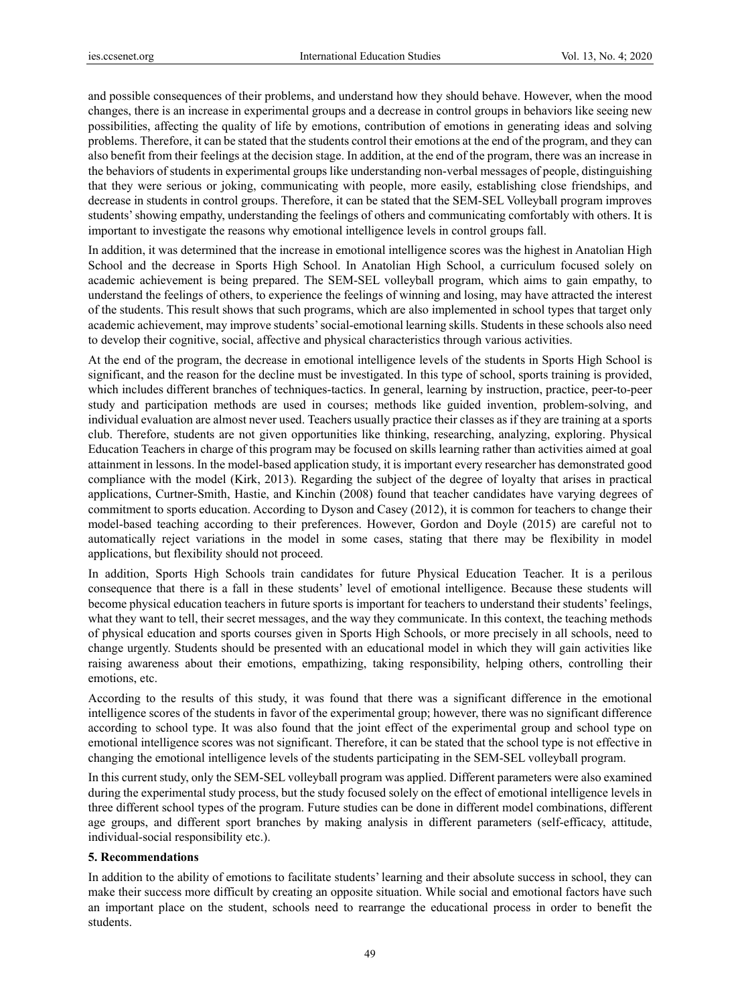and possible consequences of their problems, and understand how they should behave. However, when the mood changes, there is an increase in experimental groups and a decrease in control groups in behaviors like seeing new possibilities, affecting the quality of life by emotions, contribution of emotions in generating ideas and solving problems. Therefore, it can be stated that the students control their emotions at the end of the program, and they can also benefit from their feelings at the decision stage. In addition, at the end of the program, there was an increase in the behaviors of students in experimental groups like understanding non-verbal messages of people, distinguishing that they were serious or joking, communicating with people, more easily, establishing close friendships, and decrease in students in control groups. Therefore, it can be stated that the SEM-SEL Volleyball program improves students' showing empathy, understanding the feelings of others and communicating comfortably with others. It is important to investigate the reasons why emotional intelligence levels in control groups fall.

In addition, it was determined that the increase in emotional intelligence scores was the highest in Anatolian High School and the decrease in Sports High School. In Anatolian High School, a curriculum focused solely on academic achievement is being prepared. The SEM-SEL volleyball program, which aims to gain empathy, to understand the feelings of others, to experience the feelings of winning and losing, may have attracted the interest of the students. This result shows that such programs, which are also implemented in school types that target only academic achievement, may improve students' social-emotional learning skills. Students in these schools also need to develop their cognitive, social, affective and physical characteristics through various activities.

At the end of the program, the decrease in emotional intelligence levels of the students in Sports High School is significant, and the reason for the decline must be investigated. In this type of school, sports training is provided, which includes different branches of techniques-tactics. In general, learning by instruction, practice, peer-to-peer study and participation methods are used in courses; methods like guided invention, problem-solving, and individual evaluation are almost never used. Teachers usually practice their classes as if they are training at a sports club. Therefore, students are not given opportunities like thinking, researching, analyzing, exploring. Physical Education Teachers in charge of this program may be focused on skills learning rather than activities aimed at goal attainment in lessons. In the model-based application study, it is important every researcher has demonstrated good compliance with the model (Kirk, 2013). Regarding the subject of the degree of loyalty that arises in practical applications, Curtner-Smith, Hastie, and Kinchin (2008) found that teacher candidates have varying degrees of commitment to sports education. According to Dyson and Casey (2012), it is common for teachers to change their model-based teaching according to their preferences. However, Gordon and Doyle (2015) are careful not to automatically reject variations in the model in some cases, stating that there may be flexibility in model applications, but flexibility should not proceed.

In addition, Sports High Schools train candidates for future Physical Education Teacher. It is a perilous consequence that there is a fall in these students' level of emotional intelligence. Because these students will become physical education teachers in future sports is important for teachers to understand their students' feelings, what they want to tell, their secret messages, and the way they communicate. In this context, the teaching methods of physical education and sports courses given in Sports High Schools, or more precisely in all schools, need to change urgently. Students should be presented with an educational model in which they will gain activities like raising awareness about their emotions, empathizing, taking responsibility, helping others, controlling their emotions, etc.

According to the results of this study, it was found that there was a significant difference in the emotional intelligence scores of the students in favor of the experimental group; however, there was no significant difference according to school type. It was also found that the joint effect of the experimental group and school type on emotional intelligence scores was not significant. Therefore, it can be stated that the school type is not effective in changing the emotional intelligence levels of the students participating in the SEM-SEL volleyball program.

In this current study, only the SEM-SEL volleyball program was applied. Different parameters were also examined during the experimental study process, but the study focused solely on the effect of emotional intelligence levels in three different school types of the program. Future studies can be done in different model combinations, different age groups, and different sport branches by making analysis in different parameters (self-efficacy, attitude, individual-social responsibility etc.).

#### **5. Recommendations**

In addition to the ability of emotions to facilitate students' learning and their absolute success in school, they can make their success more difficult by creating an opposite situation. While social and emotional factors have such an important place on the student, schools need to rearrange the educational process in order to benefit the students.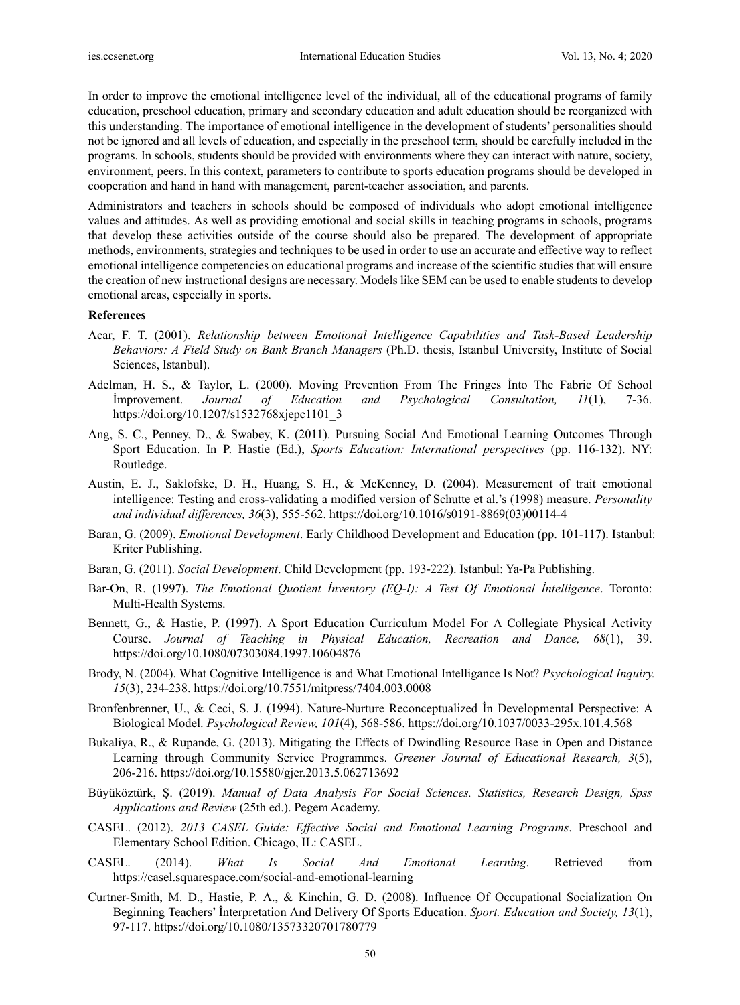In order to improve the emotional intelligence level of the individual, all of the educational programs of family education, preschool education, primary and secondary education and adult education should be reorganized with this understanding. The importance of emotional intelligence in the development of students' personalities should not be ignored and all levels of education, and especially in the preschool term, should be carefully included in the programs. In schools, students should be provided with environments where they can interact with nature, society, environment, peers. In this context, parameters to contribute to sports education programs should be developed in cooperation and hand in hand with management, parent-teacher association, and parents.

Administrators and teachers in schools should be composed of individuals who adopt emotional intelligence values and attitudes. As well as providing emotional and social skills in teaching programs in schools, programs that develop these activities outside of the course should also be prepared. The development of appropriate methods, environments, strategies and techniques to be used in order to use an accurate and effective way to reflect emotional intelligence competencies on educational programs and increase of the scientific studies that will ensure the creation of new instructional designs are necessary. Models like SEM can be used to enable students to develop emotional areas, especially in sports.

#### **References**

- Acar, F. T. (2001). *Relationship between Emotional Intelligence Capabilities and Task-Based Leadership Behaviors: A Field Study on Bank Branch Managers* (Ph.D. thesis, Istanbul University, Institute of Social Sciences, Istanbul).
- Adelman, H. S., & Taylor, L. (2000). Moving Prevention From The Fringes İnto The Fabric Of School İmprovement. *Journal of Education and Psychological Consultation, 11*(1), 7-36. https://doi.org/10.1207/s1532768xjepc1101\_3
- Ang, S. C., Penney, D., & Swabey, K. (2011). Pursuing Social And Emotional Learning Outcomes Through Sport Education. In P. Hastie (Ed.), *Sports Education: International perspectives* (pp. 116-132). NY: Routledge.
- Austin, E. J., Saklofske, D. H., Huang, S. H., & McKenney, D. (2004). Measurement of trait emotional intelligence: Testing and cross-validating a modified version of Schutte et al.'s (1998) measure. *Personality and individual differences, 36*(3), 555-562. https://doi.org/10.1016/s0191-8869(03)00114-4
- Baran, G. (2009). *Emotional Development*. Early Childhood Development and Education (pp. 101-117). Istanbul: Kriter Publishing.
- Baran, G. (2011). *Social Development*. Child Development (pp. 193-222). Istanbul: Ya-Pa Publishing.
- Bar-On, R. (1997). *The Emotional Quotient İnventory (EQ-I): A Test Of Emotional İntelligence*. Toronto: Multi-Health Systems.
- Bennett, G., & Hastie, P. (1997). A Sport Education Curriculum Model For A Collegiate Physical Activity Course. *Journal of Teaching in Physical Education, Recreation and Dance, 68*(1), 39. https://doi.org/10.1080/07303084.1997.10604876
- Brody, N. (2004). What Cognitive Intelligence is and What Emotional Intelligance Is Not? *Psychological Inquiry. 15*(3), 234-238. https://doi.org/10.7551/mitpress/7404.003.0008
- Bronfenbrenner, U., & Ceci, S. J. (1994). Nature-Nurture Reconceptualized İn Developmental Perspective: A Biological Model. *Psychological Review, 101*(4), 568-586. https://doi.org/10.1037/0033-295x.101.4.568
- Bukaliya, R., & Rupande, G. (2013). Mitigating the Effects of Dwindling Resource Base in Open and Distance Learning through Community Service Programmes. *Greener Journal of Educational Research, 3*(5), 206-216. https://doi.org/10.15580/gjer.2013.5.062713692
- Büyüköztürk, Ş. (2019). *Manual of Data Analysis For Social Sciences. Statistics, Research Design, Spss Applications and Review* (25th ed.). Pegem Academy.
- CASEL. (2012). *2013 CASEL Guide: Effective Social and Emotional Learning Programs*. Preschool and Elementary School Edition. Chicago, IL: CASEL.
- CASEL. (2014). *What Is Social And Emotional Learning*. Retrieved from https://casel.squarespace.com/social-and-emotional-learning
- Curtner-Smith, M. D., Hastie, P. A., & Kinchin, G. D. (2008). Influence Of Occupational Socialization On Beginning Teachers' İnterpretation And Delivery Of Sports Education. *Sport. Education and Society, 13*(1), 97-117. https://doi.org/10.1080/13573320701780779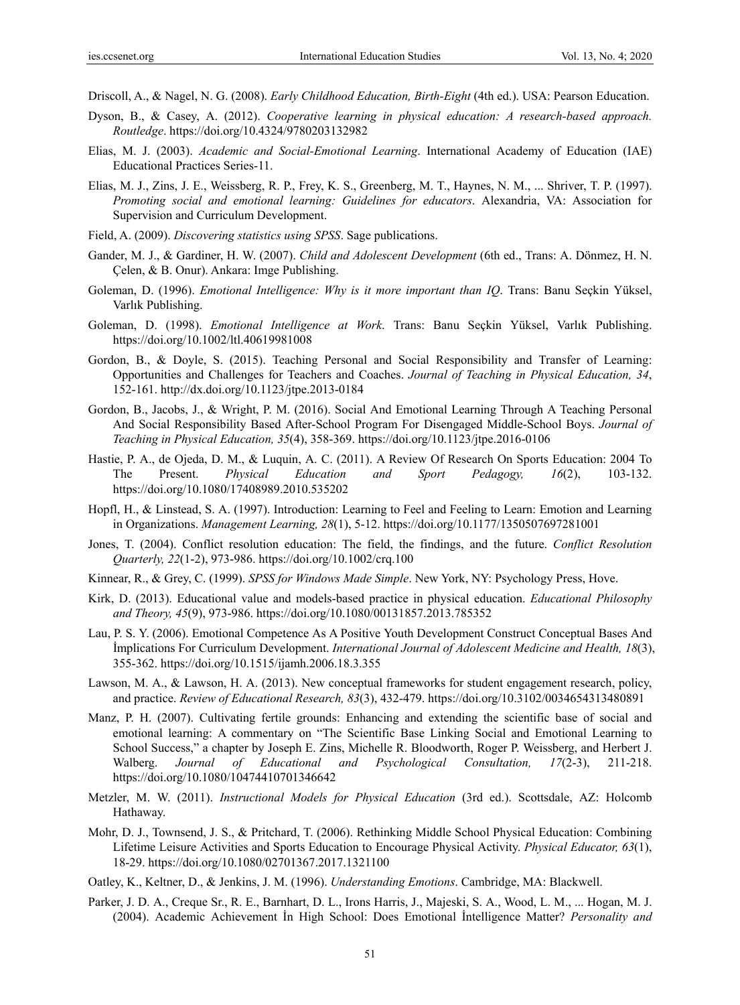Driscoll, A., & Nagel, N. G. (2008). *Early Childhood Education, Birth-Eight* (4th ed.). USA: Pearson Education.

- Dyson, B., & Casey, A. (2012). *Cooperative learning in physical education: A research-based approach. Routledge*. https://doi.org/10.4324/9780203132982
- Elias, M. J. (2003). *Academic and Social-Emotional Learning*. International Academy of Education (IAE) Educational Practices Series-11.
- Elias, M. J., Zins, J. E., Weissberg, R. P., Frey, K. S., Greenberg, M. T., Haynes, N. M., ... Shriver, T. P. (1997). *Promoting social and emotional learning: Guidelines for educators*. Alexandria, VA: Association for Supervision and Curriculum Development.
- Field, A. (2009). *Discovering statistics using SPSS*. Sage publications.
- Gander, M. J., & Gardiner, H. W. (2007). *Child and Adolescent Development* (6th ed., Trans: A. Dönmez, H. N. Çelen, & B. Onur). Ankara: Imge Publishing.
- Goleman, D. (1996). *Emotional Intelligence: Why is it more important than IQ*. Trans: Banu Seçkin Yüksel, Varlık Publishing.
- Goleman, D. (1998). *Emotional Intelligence at Work*. Trans: Banu Seçkin Yüksel, Varlık Publishing. https://doi.org/10.1002/ltl.40619981008
- Gordon, B., & Doyle, S. (2015). Teaching Personal and Social Responsibility and Transfer of Learning: Opportunities and Challenges for Teachers and Coaches. *Journal of Teaching in Physical Education, 34*, 152-161. http://dx.doi.org/10.1123/jtpe.2013-0184
- Gordon, B., Jacobs, J., & Wright, P. M. (2016). Social And Emotional Learning Through A Teaching Personal And Social Responsibility Based After-School Program For Disengaged Middle-School Boys. *Journal of Teaching in Physical Education, 35*(4), 358-369. https://doi.org/10.1123/jtpe.2016-0106
- Hastie, P. A., de Ojeda, D. M., & Luquin, A. C. (2011). A Review Of Research On Sports Education: 2004 To The Present. *Physical Education and Sport Pedagogy, 16*(2), 103-132. https://doi.org/10.1080/17408989.2010.535202
- Hopfl, H., & Linstead, S. A. (1997). Introduction: Learning to Feel and Feeling to Learn: Emotion and Learning in Organizations. *Management Learning, 28*(1), 5-12. https://doi.org/10.1177/1350507697281001
- Jones, T. (2004). Conflict resolution education: The field, the findings, and the future. *Conflict Resolution Quarterly, 22*(1-2), 973-986. https://doi.org/10.1002/crq.100
- Kinnear, R., & Grey, C. (1999). *SPSS for Windows Made Simple*. New York, NY: Psychology Press, Hove.
- Kirk, D. (2013). Educational value and models-based practice in physical education. *Educational Philosophy and Theory, 45*(9), 973-986. https://doi.org/10.1080/00131857.2013.785352
- Lau, P. S. Y. (2006). Emotional Competence As A Positive Youth Development Construct Conceptual Bases And İmplications For Curriculum Development. *International Journal of Adolescent Medicine and Health, 18*(3), 355-362. https://doi.org/10.1515/ijamh.2006.18.3.355
- Lawson, M. A., & Lawson, H. A. (2013). New conceptual frameworks for student engagement research, policy, and practice. *Review of Educational Research, 83*(3), 432-479. https://doi.org/10.3102/0034654313480891
- Manz, P. H. (2007). Cultivating fertile grounds: Enhancing and extending the scientific base of social and emotional learning: A commentary on "The Scientific Base Linking Social and Emotional Learning to School Success," a chapter by Joseph E. Zins, Michelle R. Bloodworth, Roger P. Weissberg, and Herbert J. Walberg. *Journal of Educational and Psychological Consultation, 17*(2-3), 211-218. https://doi.org/10.1080/10474410701346642
- Metzler, M. W. (2011). *Instructional Models for Physical Education* (3rd ed.). Scottsdale, AZ: Holcomb Hathaway.
- Mohr, D. J., Townsend, J. S., & Pritchard, T. (2006). Rethinking Middle School Physical Education: Combining Lifetime Leisure Activities and Sports Education to Encourage Physical Activity. *Physical Educator, 63*(1), 18-29. https://doi.org/10.1080/02701367.2017.1321100
- Oatley, K., Keltner, D., & Jenkins, J. M. (1996). *Understanding Emotions*. Cambridge, MA: Blackwell.
- Parker, J. D. A., Creque Sr., R. E., Barnhart, D. L., Irons Harris, J., Majeski, S. A., Wood, L. M., ... Hogan, M. J. (2004). Academic Achievement İn High School: Does Emotional İntelligence Matter? *Personality and*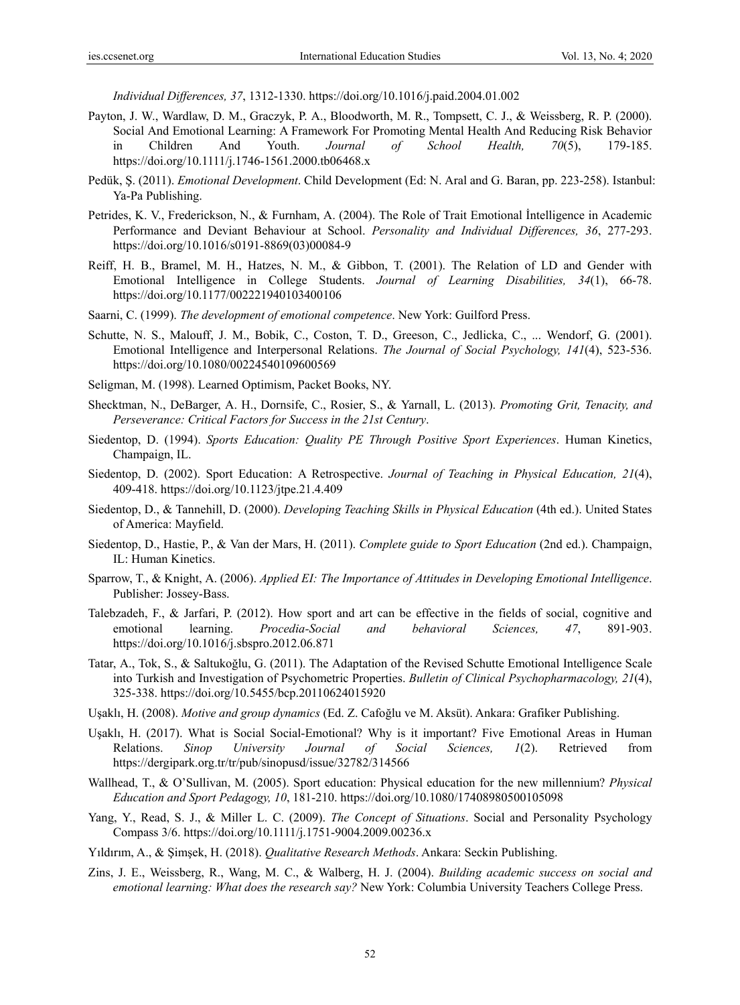*Individual Differences, 37*, 1312-1330. https://doi.org/10.1016/j.paid.2004.01.002

- Payton, J. W., Wardlaw, D. M., Graczyk, P. A., Bloodworth, M. R., Tompsett, C. J., & Weissberg, R. P. (2000). Social And Emotional Learning: A Framework For Promoting Mental Health And Reducing Risk Behavior in Children And Youth. *Journal of School Health, 70*(5), 179-185. https://doi.org/10.1111/j.1746-1561.2000.tb06468.x
- Pedük, Ş. (2011). *Emotional Development*. Child Development (Ed: N. Aral and G. Baran, pp. 223-258). Istanbul: Ya-Pa Publishing.
- Petrides, K. V., Frederickson, N., & Furnham, A. (2004). The Role of Trait Emotional İntelligence in Academic Performance and Deviant Behaviour at School. *Personality and Individual Differences, 36*, 277-293. https://doi.org/10.1016/s0191-8869(03)00084-9
- Reiff, H. B., Bramel, M. H., Hatzes, N. M., & Gibbon, T. (2001). The Relation of LD and Gender with Emotional Intelligence in College Students. *Journal of Learning Disabilities, 34*(1), 66-78. https://doi.org/10.1177/002221940103400106
- Saarni, C. (1999). *The development of emotional competence*. New York: Guilford Press.
- Schutte, N. S., Malouff, J. M., Bobik, C., Coston, T. D., Greeson, C., Jedlicka, C., ... Wendorf, G. (2001). Emotional Intelligence and Interpersonal Relations. *The Journal of Social Psychology, 141*(4), 523-536. https://doi.org/10.1080/00224540109600569
- Seligman, M. (1998). Learned Optimism, Packet Books, NY.
- Shecktman, N., DeBarger, A. H., Dornsife, C., Rosier, S., & Yarnall, L. (2013). *Promoting Grit, Tenacity, and Perseverance: Critical Factors for Success in the 21st Century*.
- Siedentop, D. (1994). *Sports Education: Quality PE Through Positive Sport Experiences*. Human Kinetics, Champaign, IL.
- Siedentop, D. (2002). Sport Education: A Retrospective. *Journal of Teaching in Physical Education, 21*(4), 409-418. https://doi.org/10.1123/jtpe.21.4.409
- Siedentop, D., & Tannehill, D. (2000). *Developing Teaching Skills in Physical Education* (4th ed.). United States of America: Mayfield.
- Siedentop, D., Hastie, P., & Van der Mars, H. (2011). *Complete guide to Sport Education* (2nd ed.). Champaign, IL: Human Kinetics.
- Sparrow, T., & Knight, A. (2006). *Applied EI: The Importance of Attitudes in Developing Emotional Intelligence*. Publisher: Jossey-Bass.
- Talebzadeh, F., & Jarfari, P. (2012). How sport and art can be effective in the fields of social, cognitive and emotional learning. *Procedia-Social and behavioral Sciences, 47*, 891-903. https://doi.org/10.1016/j.sbspro.2012.06.871
- Tatar, A., Tok, S., & Saltukoğlu, G. (2011). The Adaptation of the Revised Schutte Emotional Intelligence Scale into Turkish and Investigation of Psychometric Properties. *Bulletin of Clinical Psychopharmacology, 21*(4), 325-338. https://doi.org/10.5455/bcp.20110624015920
- Uşaklı, H. (2008). *Motive and group dynamics* (Ed. Z. Cafoğlu ve M. Aksüt). Ankara: Grafiker Publishing.
- Uşaklı, H. (2017). What is Social Social-Emotional? Why is it important? Five Emotional Areas in Human Relations. *Sinop University Journal of Social Sciences, 1*(2). Retrieved from https://dergipark.org.tr/tr/pub/sinopusd/issue/32782/314566
- Wallhead, T., & O'Sullivan, M. (2005). Sport education: Physical education for the new millennium? *Physical Education and Sport Pedagogy, 10*, 181-210. https://doi.org/10.1080/17408980500105098
- Yang, Y., Read, S. J., & Miller L. C. (2009). *The Concept of Situations*. Social and Personality Psychology Compass 3/6. https://doi.org/10.1111/j.1751-9004.2009.00236.x
- Yıldırım, A., & Şimşek, H. (2018). *Qualitative Research Methods*. Ankara: Seckin Publishing.
- Zins, J. E., Weissberg, R., Wang, M. C., & Walberg, H. J. (2004). *Building academic success on social and emotional learning: What does the research say?* New York: Columbia University Teachers College Press.